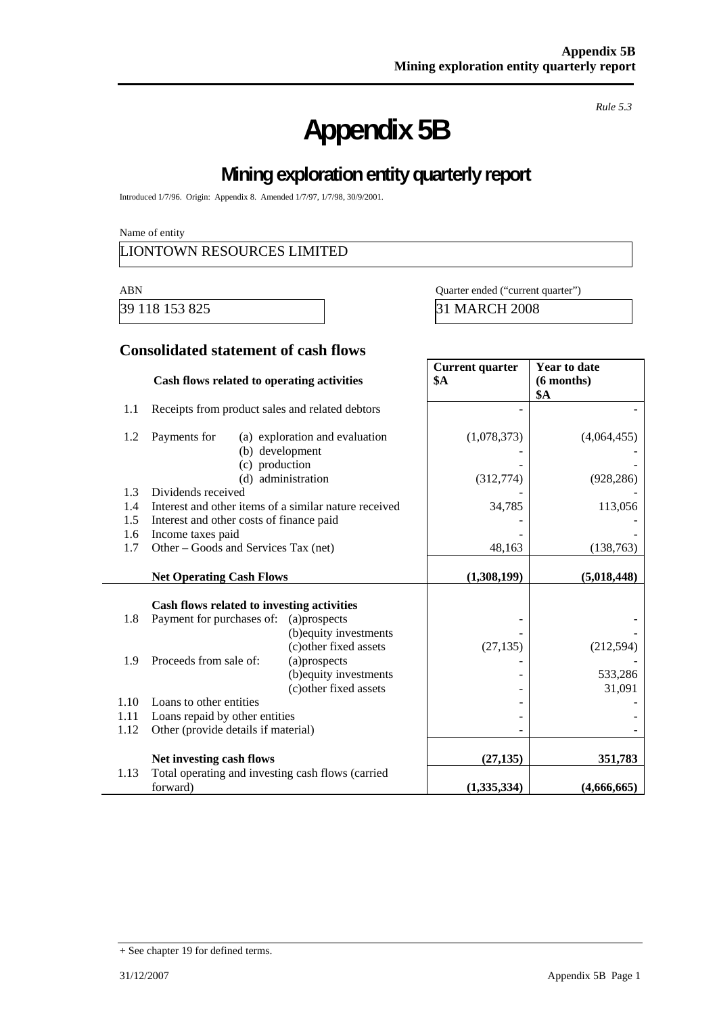# **Appendix 5B**

*Rule 5.3* 

# **Mining exploration entity quarterly report**

Introduced 1/7/96. Origin: Appendix 8. Amended 1/7/97, 1/7/98, 30/9/2001.

Name of entity

## LIONTOWN RESOURCES LIMITED

ABN Quarter ended ("current quarter")

39 118 153 825 31 MARCH 2008

### **Consolidated statement of cash flows**

|      | Cash flows related to operating activities            |                                | <b>Current quarter</b><br><b>\$A</b> | <b>Year to date</b><br>(6 months)<br>\$A |
|------|-------------------------------------------------------|--------------------------------|--------------------------------------|------------------------------------------|
| 1.1  | Receipts from product sales and related debtors       |                                |                                      |                                          |
| 1.2  | Payments for<br>(b) development<br>(c) production     | (a) exploration and evaluation | (1,078,373)                          | (4,064,455)                              |
|      |                                                       | (d) administration             | (312,774)                            | (928, 286)                               |
| 1.3  | Dividends received                                    |                                |                                      |                                          |
| 1.4  | Interest and other items of a similar nature received |                                | 34,785                               | 113,056                                  |
| 1.5  | Interest and other costs of finance paid              |                                |                                      |                                          |
| 1.6  | Income taxes paid                                     |                                |                                      |                                          |
| 1.7  | Other – Goods and Services Tax (net)                  |                                | 48,163                               | (138, 763)                               |
|      | <b>Net Operating Cash Flows</b>                       |                                | (1,308,199)                          | (5,018,448)                              |
|      | Cash flows related to investing activities            |                                |                                      |                                          |
| 1.8  | Payment for purchases of:                             | (a)prospects                   |                                      |                                          |
|      |                                                       | (b) equity investments         |                                      |                                          |
|      |                                                       | (c) other fixed assets         | (27, 135)                            | (212, 594)                               |
| 1.9  | Proceeds from sale of:                                | (a)prospects                   |                                      |                                          |
|      |                                                       | (b) equity investments         |                                      | 533,286                                  |
|      |                                                       | (c) other fixed assets         |                                      | 31,091                                   |
| 1.10 | Loans to other entities                               |                                |                                      |                                          |
| 1.11 | Loans repaid by other entities                        |                                |                                      |                                          |
| 1.12 | Other (provide details if material)                   |                                |                                      |                                          |
|      | Net investing cash flows                              |                                | (27, 135)                            | 351,783                                  |
| 1.13 | Total operating and investing cash flows (carried     |                                |                                      |                                          |
|      | forward)                                              |                                | (1, 335, 334)                        | (4,666,665)                              |

<sup>+</sup> See chapter 19 for defined terms.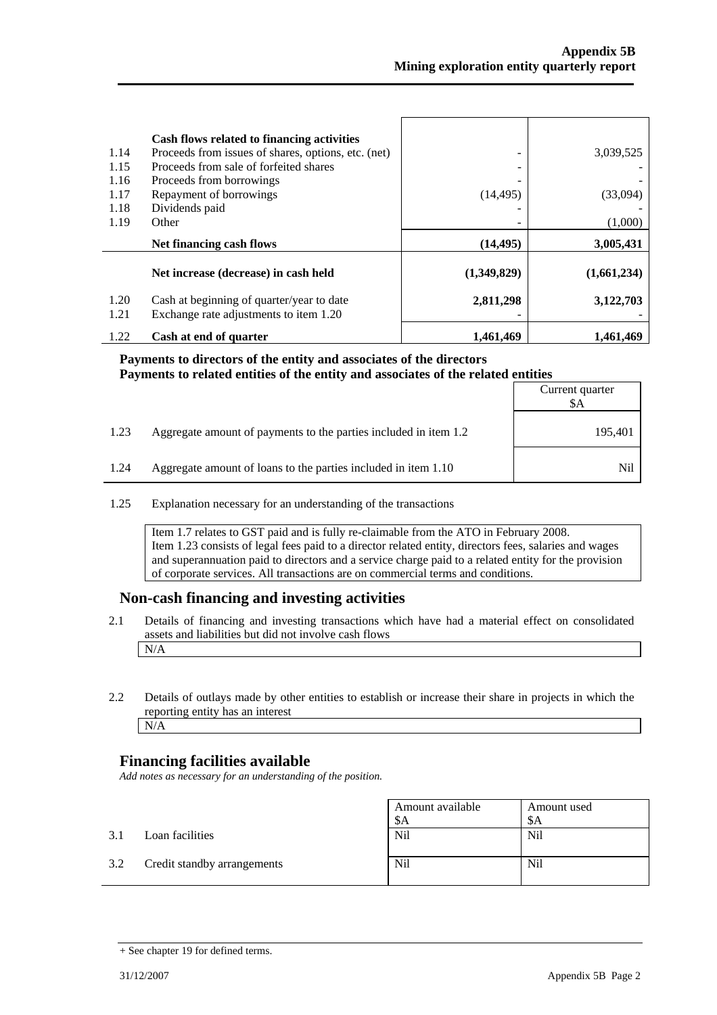| 1.14 | Cash flows related to financing activities<br>Proceeds from issues of shares, options, etc. (net) |             | 3,039,525   |
|------|---------------------------------------------------------------------------------------------------|-------------|-------------|
| 1.15 | Proceeds from sale of forfeited shares                                                            |             |             |
| 1.16 | Proceeds from borrowings                                                                          |             |             |
| 1.17 | Repayment of borrowings                                                                           | (14, 495)   | (33,094)    |
| 1.18 | Dividends paid                                                                                    |             |             |
| 1.19 | Other                                                                                             |             | (1,000)     |
|      |                                                                                                   |             |             |
|      | Net financing cash flows                                                                          | (14, 495)   | 3,005,431   |
|      | Net increase (decrease) in cash held                                                              | (1,349,829) | (1,661,234) |
| 1.20 | Cash at beginning of quarter/year to date                                                         | 2,811,298   | 3,122,703   |
| 1.21 | Exchange rate adjustments to item 1.20                                                            |             |             |

#### **Payments to directors of the entity and associates of the directors Payments to related entities of the entity and associates of the related entities**

|      |                                                                  | Current quarter<br>\$A |
|------|------------------------------------------------------------------|------------------------|
| 1.23 | Aggregate amount of payments to the parties included in item 1.2 | 195,401                |
| 1.24 | Aggregate amount of loans to the parties included in item 1.10   | Nil                    |

1.25 Explanation necessary for an understanding of the transactions

Item 1.7 relates to GST paid and is fully re-claimable from the ATO in February 2008. Item 1.23 consists of legal fees paid to a director related entity, directors fees, salaries and wages and superannuation paid to directors and a service charge paid to a related entity for the provision of corporate services. All transactions are on commercial terms and conditions.

#### **Non-cash financing and investing activities**

- 2.1 Details of financing and investing transactions which have had a material effect on consolidated assets and liabilities but did not involve cash flows N/A
- 2.2 Details of outlays made by other entities to establish or increase their share in projects in which the reporting entity has an interest N/A

#### **Financing facilities available**

*Add notes as necessary for an understanding of the position.* 

|     |                             | Amount available<br>\$A | Amount used<br>-SA |
|-----|-----------------------------|-------------------------|--------------------|
| 3.1 | Loan facilities             | Nil                     | <b>Nil</b>         |
| 3.2 | Credit standby arrangements | Nil                     | <b>Nil</b>         |

 $\overline{\phantom{0}}$ 

<sup>+</sup> See chapter 19 for defined terms.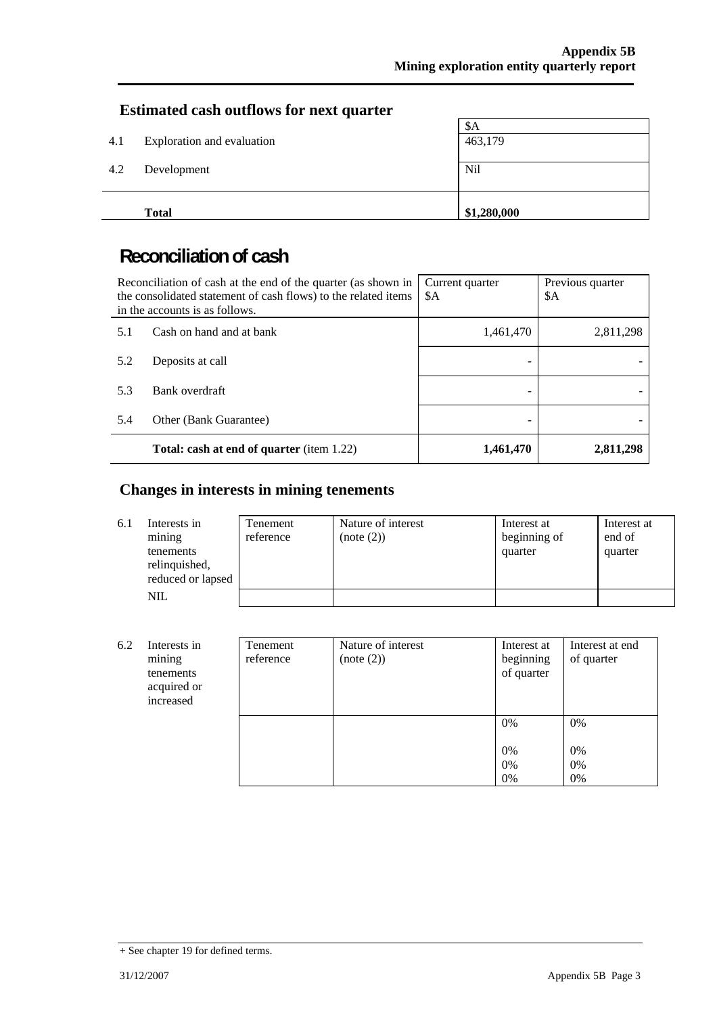## **Estimated cash outflows for next quarter**

|     | <b>Total</b>               | \$1,280,000 |  |
|-----|----------------------------|-------------|--|
| 4.2 | Development                | Nil         |  |
| 4.1 | Exploration and evaluation | 463,179     |  |
|     |                            | \$A         |  |

## **Reconciliation of cash**

|     | Reconciliation of cash at the end of the quarter (as shown in<br>the consolidated statement of cash flows) to the related items<br>in the accounts is as follows. | Current quarter<br>\$A | Previous quarter<br>\$A |
|-----|-------------------------------------------------------------------------------------------------------------------------------------------------------------------|------------------------|-------------------------|
| 5.1 | Cash on hand and at bank                                                                                                                                          | 1,461,470              | 2,811,298               |
| 5.2 | Deposits at call                                                                                                                                                  |                        |                         |
| 5.3 | Bank overdraft                                                                                                                                                    |                        |                         |
| 5.4 | Other (Bank Guarantee)                                                                                                                                            |                        |                         |
|     | <b>Total: cash at end of quarter</b> (item 1.22)                                                                                                                  | 1,461,470              | 2,811,298               |

## **Changes in interests in mining tenements**

| 6.1 | Interests in<br>mining<br>tenements<br>relinquished,<br>reduced or lapsed | Tenement<br>reference | Nature of interest<br>(note (2)) | Interest at<br>beginning of<br>quarter | Interest at<br>end of<br>quarter |
|-----|---------------------------------------------------------------------------|-----------------------|----------------------------------|----------------------------------------|----------------------------------|
|     | NIL                                                                       |                       |                                  |                                        |                                  |

| 6.2 | Interests in<br>mining<br>tenements<br>acquired or<br>increased | Tenement<br>reference | Nature of interest<br>(note (2)) | Interest at<br>beginning<br>of quarter | Interest at end<br>of quarter |
|-----|-----------------------------------------------------------------|-----------------------|----------------------------------|----------------------------------------|-------------------------------|
|     |                                                                 |                       |                                  | $0\%$<br>$0\%$<br>$0\%$<br>0%          | $0\%$<br>0%<br>0%<br>0%       |

<sup>+</sup> See chapter 19 for defined terms.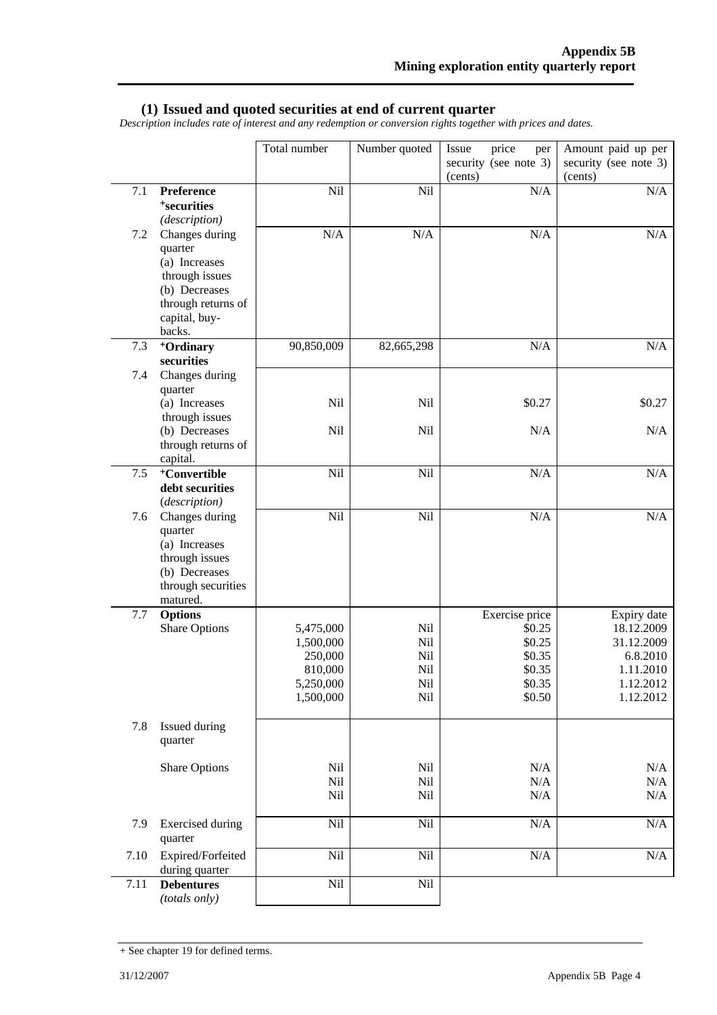#### **(1) Issued and quoted securities at end of current quarter**

*Description includes rate of interest and any redemption or conversion rights together with prices and dates.* 

|         |                                                                                                                                | Total number                                                           | Number quoted                          | price<br>Issue<br>per<br>security (see note 3)<br>(cents)                  | Amount paid up per<br>security (see note 3)<br>(cents)                                     |
|---------|--------------------------------------------------------------------------------------------------------------------------------|------------------------------------------------------------------------|----------------------------------------|----------------------------------------------------------------------------|--------------------------------------------------------------------------------------------|
| $7.1\,$ | Preference<br><sup>+</sup> securities<br>(description)                                                                         | Nil                                                                    | Nil                                    | $\rm N/A$                                                                  | $\rm N/A$                                                                                  |
| 7.2     | Changes during<br>quarter<br>(a) Increases<br>through issues<br>(b) Decreases<br>through returns of<br>capital, buy-<br>backs. | N/A                                                                    | N/A                                    | $\rm N/A$                                                                  | N/A                                                                                        |
| 7.3     | <sup>+</sup> Ordinary<br>securities                                                                                            | 90,850,009                                                             | 82,665,298                             | N/A                                                                        | $\rm N/A$                                                                                  |
| 7.4     | Changes during<br>quarter<br>(a) Increases                                                                                     | Nil                                                                    | Nil                                    | \$0.27                                                                     | \$0.27                                                                                     |
|         | through issues<br>(b) Decreases<br>through returns of<br>capital.                                                              | Nil                                                                    | Nil                                    | N/A                                                                        | N/A                                                                                        |
| $7.5$   | <sup>+</sup> Convertible<br>debt securities<br>(description)                                                                   | Nil                                                                    | Nil                                    | $\rm N/A$                                                                  | $\rm N/A$                                                                                  |
| 7.6     | Changes during<br>quarter<br>(a) Increases<br>through issues<br>(b) Decreases<br>through securities<br>matured.                | Nil                                                                    | Nil                                    | N/A                                                                        | $\rm N/A$                                                                                  |
| 7.7     | <b>Options</b><br><b>Share Options</b>                                                                                         | 5,475,000<br>1,500,000<br>250,000<br>810,000<br>5,250,000<br>1,500,000 | Nil<br>Nil<br>Nil<br>Nil<br>Nil<br>Nil | Exercise price<br>\$0.25<br>\$0.25<br>\$0.35<br>\$0.35<br>\$0.35<br>\$0.50 | Expiry date<br>18.12.2009<br>31.12.2009<br>6.8.2010<br>1.11.2010<br>1.12.2012<br>1.12.2012 |
| 7.8     | Issued during<br>quarter                                                                                                       |                                                                        |                                        |                                                                            |                                                                                            |
|         | Share Options                                                                                                                  | Nil<br>Nil<br>Nil                                                      | Nil<br>Nil<br>Nil                      | N/A<br>N/A<br>N/A                                                          | $\rm N/A$<br>$\rm N/A$<br>N/A                                                              |
| 7.9     | <b>Exercised</b> during<br>quarter                                                                                             | Nil                                                                    | Nil                                    | $\rm N/A$                                                                  | $\rm N/A$                                                                                  |
| 7.10    | Expired/Forfeited<br>during quarter                                                                                            | Nil                                                                    | Nil                                    | $\rm N/A$                                                                  | $\rm N/A$                                                                                  |
| 7.11    | <b>Debentures</b><br>(totals only)                                                                                             | Nil                                                                    | Nil                                    |                                                                            |                                                                                            |

<sup>+</sup> See chapter 19 for defined terms.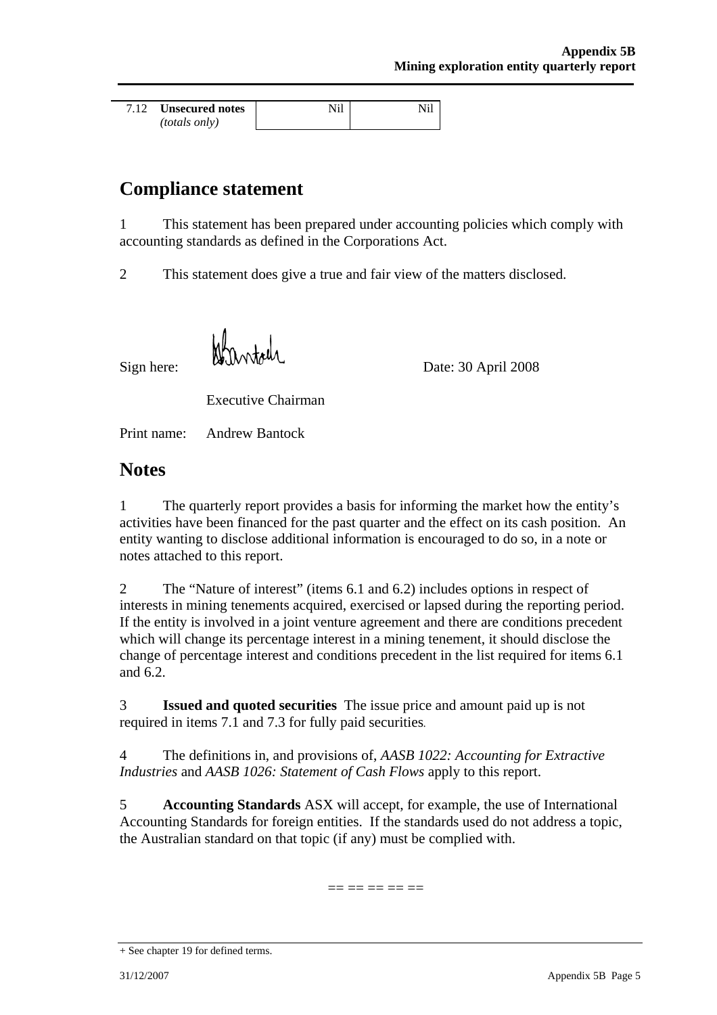| 7.12 | Unsecured notes      |  |
|------|----------------------|--|
|      | <i>(totals only)</i> |  |

## **Compliance statement**

1 This statement has been prepared under accounting policies which comply with accounting standards as defined in the Corporations Act.

2 This statement does give a true and fair view of the matters disclosed.

Sign here: Date: 30 April 2008

Executive Chairman

Print name: Andrew Bantock

## **Notes**

1 The quarterly report provides a basis for informing the market how the entity's activities have been financed for the past quarter and the effect on its cash position. An entity wanting to disclose additional information is encouraged to do so, in a note or notes attached to this report.

2 The "Nature of interest" (items 6.1 and 6.2) includes options in respect of interests in mining tenements acquired, exercised or lapsed during the reporting period. If the entity is involved in a joint venture agreement and there are conditions precedent which will change its percentage interest in a mining tenement, it should disclose the change of percentage interest and conditions precedent in the list required for items 6.1 and 6.2.

3 **Issued and quoted securities** The issue price and amount paid up is not required in items 7.1 and 7.3 for fully paid securities*.* 

4 The definitions in, and provisions of, *AASB 1022: Accounting for Extractive Industries and AASB 1026: Statement of Cash Flows apply to this report.* 

5 **Accounting Standards** ASX will accept, for example, the use of International Accounting Standards for foreign entities. If the standards used do not address a topic, the Australian standard on that topic (if any) must be complied with.

== == == == ==

<sup>+</sup> See chapter 19 for defined terms.